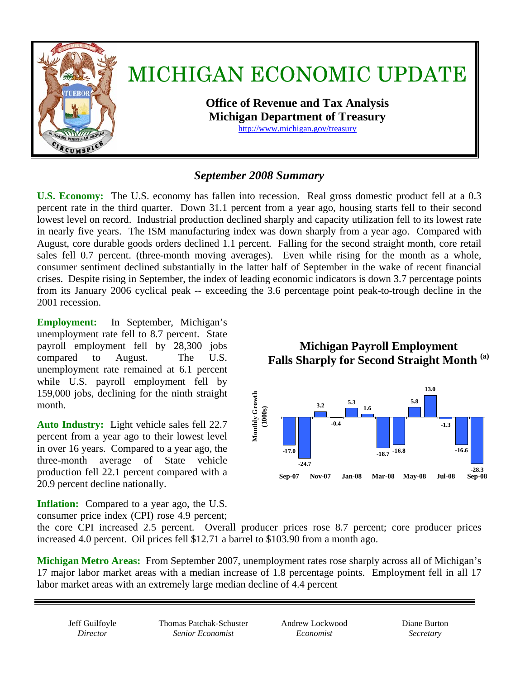

# *September 2008 Summary*

**U.S. Economy:** The U.S. economy has fallen into recession. Real gross domestic product fell at a 0.3 percent rate in the third quarter. Down 31.1 percent from a year ago, housing starts fell to their second lowest level on record. Industrial production declined sharply and capacity utilization fell to its lowest rate in nearly five years. The ISM manufacturing index was down sharply from a year ago. Compared with August, core durable goods orders declined 1.1 percent. Falling for the second straight month, core retail sales fell 0.7 percent. (three-month moving averages). Even while rising for the month as a whole, consumer sentiment declined substantially in the latter half of September in the wake of recent financial crises. Despite rising in September, the index of leading economic indicators is down 3.7 percentage points from its January 2006 cyclical peak -- exceeding the 3.6 percentage point peak-to-trough decline in the 2001 recession.

**Employment:** In September, Michigan's unemployment rate fell to 8.7 percent. State payroll employment fell by 28,300 jobs compared to August. The U.S. unemployment rate remained at 6.1 percent while U.S. payroll employment fell by 159,000 jobs, declining for the ninth straight month.

**Auto Industry:** Light vehicle sales fell 22.7 percent from a year ago to their lowest level in over 16 years.Compared to a year ago, the three-month average of State vehicle production fell 22.1 percent compared with a 20.9 percent decline nationally.

**Inflation:** Compared to a year ago, the U.S. consumer price index (CPI) rose 4.9 percent;

**Michigan Payroll Employment Falls Sharply for Second Straight Month (a)** 



the core CPI increased 2.5 percent.Overall producer prices rose 8.7 percent; core producer prices increased 4.0 percent.Oil prices fell \$12.71 a barrel to \$103.90 from a month ago.

**Michigan Metro Areas:** From September 2007, unemployment rates rose sharply across all of Michigan's 17 major labor market areas with a median increase of 1.8 percentage points.Employment fell in all 17 labor market areas with an extremely large median decline of 4.4 percent

Jeff Guilfoyle *Director* 

Thomas Patchak-Schuster *Senior Economist* 

Andrew Lockwood *Economist* 

Diane Burton *Secretary*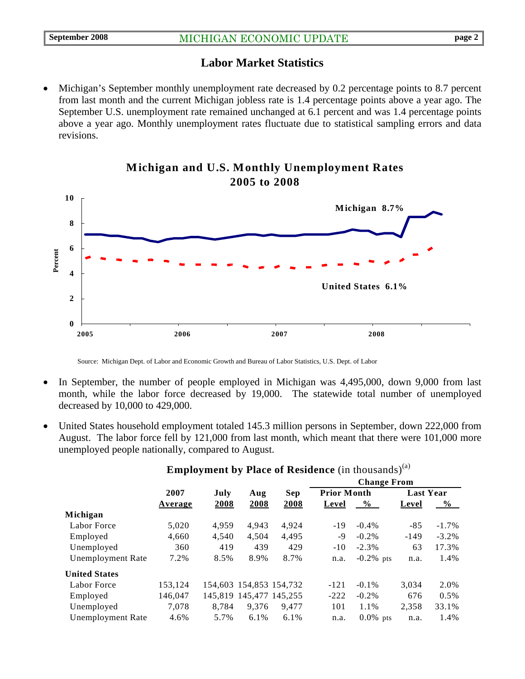# **Labor Market Statistics**

• Michigan's September monthly unemployment rate decreased by 0.2 percentage points to 8.7 percent from last month and the current Michigan jobless rate is 1.4 percentage points above a year ago. The September U.S. unemployment rate remained unchanged at 6.1 percent and was 1.4 percentage points above a year ago. Monthly unemployment rates fluctuate due to statistical sampling errors and data revisions.



## **Michigan and U.S. Monthly Unemployment Rates 2005 to 2008**

Source: Michigan Dept. of Labor and Economic Growth and Bureau of Labor Statistics, U.S. Dept. of Labor

- In September, the number of people employed in Michigan was 4,495,000, down 9,000 from last month, while the labor force decreased by 19,000. The statewide total number of unemployed decreased by 10,000 to 429,000.
- United States household employment totaled 145.3 million persons in September, down 222,000 from August. The labor force fell by 121,000 from last month, which meant that there were 101,000 more unemployed people nationally, compared to August.

|                          |         |       | $\overline{ }$          |       |                    |                    |        |                  |
|--------------------------|---------|-------|-------------------------|-------|--------------------|--------------------|--------|------------------|
|                          |         |       |                         |       | <b>Change From</b> |                    |        |                  |
|                          | 2007    | July  | Aug                     | Sep   |                    | <b>Prior Month</b> |        | <b>Last Year</b> |
|                          | Average | 2008  | 2008                    | 2008  | Level              | $\%$               | Level  | $\%$             |
| Michigan                 |         |       |                         |       |                    |                    |        |                  |
| Labor Force              | 5.020   | 4.959 | 4.943                   | 4.924 | $-19$              | $-0.4\%$           | $-85$  | $-1.7\%$         |
| Employed                 | 4,660   | 4,540 | 4,504                   | 4,495 | -9                 | $-0.2\%$           | $-149$ | $-3.2\%$         |
| Unemployed               | 360     | 419   | 439                     | 429   | $-10$              | $-2.3%$            | 63     | 17.3%            |
| <b>Unemployment Rate</b> | 7.2%    | 8.5%  | 8.9%                    | 8.7%  | n.a.               | $-0.2\%$ pts       | n.a.   | 1.4%             |
| <b>United States</b>     |         |       |                         |       |                    |                    |        |                  |
| Labor Force              | 153,124 |       | 154,603 154,853 154,732 |       | $-121$             | $-0.1\%$           | 3,034  | 2.0%             |
| Employed                 | 146,047 |       | 145,819 145,477 145,255 |       | $-222$             | $-0.2\%$           | 676    | 0.5%             |
| Unemployed               | 7.078   | 8.784 | 9.376                   | 9.477 | 101                | 1.1%               | 2,358  | 33.1%            |
| Unemployment Rate        | 4.6%    | 5.7%  | 6.1%                    | 6.1%  | n.a.               | $0.0\%$ pts        | n.a.   | 1.4%             |
|                          |         |       |                         |       |                    |                    |        |                  |

# **Employment by Place of Residence** (in thousands)<sup>(a)</sup>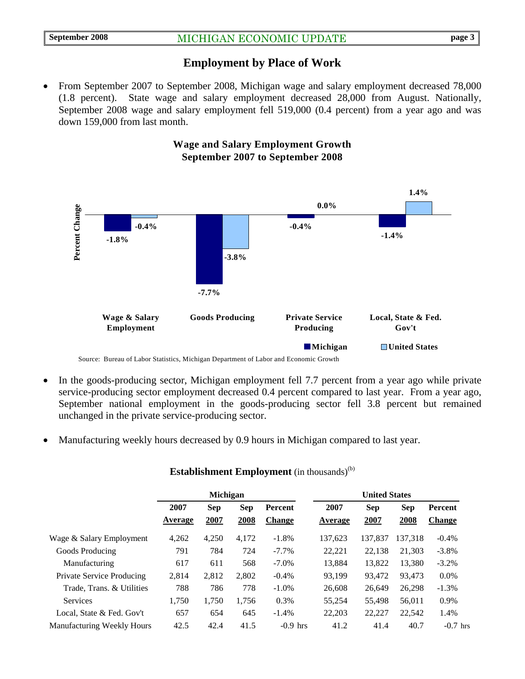## **Employment by Place of Work**

• From September 2007 to September 2008, Michigan wage and salary employment decreased 78,000 (1.8 percent).State wage and salary employment decreased 28,000 from August. Nationally, September 2008 wage and salary employment fell 519,000 (0.4 percent) from a year ago and was down 159,000 from last month.





- In the goods-producing sector, Michigan employment fell 7.7 percent from a year ago while private service-producing sector employment decreased 0.4 percent compared to last year. From a year ago, September national employment in the goods-producing sector fell 3.8 percent but remained unchanged in the private service-producing sector.
- Manufacturing weekly hours decreased by 0.9 hours in Michigan compared to last year.

|                            | <b>Michigan</b> |                    |                    |                          | <b>United States</b> |                    |                    |                          |
|----------------------------|-----------------|--------------------|--------------------|--------------------------|----------------------|--------------------|--------------------|--------------------------|
|                            | 2007<br>Average | <b>Sep</b><br>2007 | <b>Sep</b><br>2008 | Percent<br><b>Change</b> | 2007<br>Average      | <b>Sep</b><br>2007 | <b>Sep</b><br>2008 | Percent<br><b>Change</b> |
| Wage & Salary Employment   | 4,262           | 4,250              | 4,172              | $-1.8%$                  | 137.623              | 137.837            | 137,318            | $-0.4%$                  |
| Goods Producing            | 791             | 784                | 724                | $-7.7\%$                 | 22,221               | 22.138             | 21,303             | $-3.8\%$                 |
| Manufacturing              | 617             | 611                | 568                | $-7.0\%$                 | 13.884               | 13,822             | 13,380             | $-3.2\%$                 |
| Private Service Producing  | 2,814           | 2,812              | 2.802              | $-0.4%$                  | 93.199               | 93.472             | 93.473             | $0.0\%$                  |
| Trade, Trans. & Utilities  | 788             | 786                | 778                | $-1.0\%$                 | 26,608               | 26.649             | 26,298             | $-1.3%$                  |
| <b>Services</b>            | 1,750           | 1,750              | 1,756              | 0.3%                     | 55,254               | 55.498             | 56,011             | 0.9%                     |
| Local, State & Fed. Gov't  | 657             | 654                | 645                | $-1.4%$                  | 22,203               | 22,227             | 22,542             | 1.4%                     |
| Manufacturing Weekly Hours | 42.5            | 42.4               | 41.5               | $-0.9$ hrs               | 41.2                 | 41.4               | 40.7               | $-0.7$ hrs               |

#### **Establishment Employment** (in thousands)<sup>(b)</sup>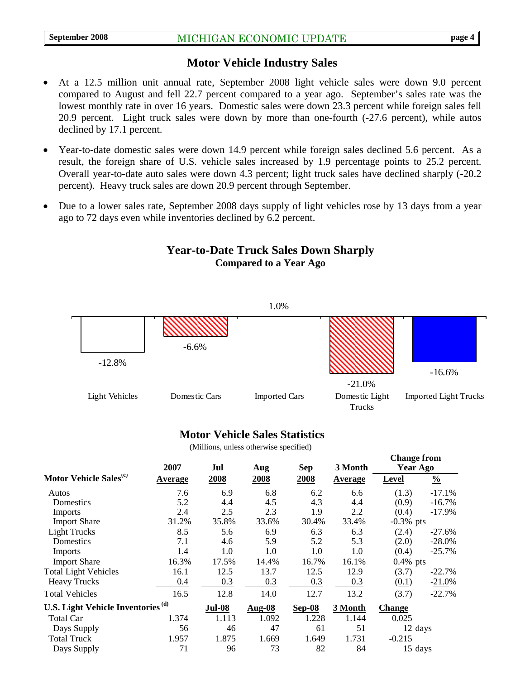#### **Motor Vehicle Industry Sales**

- At a 12.5 million unit annual rate, September 2008 light vehicle sales were down 9.0 percent compared to August and fell 22.7 percent compared to a year ago. September's sales rate was the lowest monthly rate in over 16 years. Domestic sales were down 23.3 percent while foreign sales fell 20.9 percent. Light truck sales were down by more than one-fourth (-27.6 percent), while autos declined by 17.1 percent.
- Year-to-date domestic sales were down 14.9 percent while foreign sales declined 5.6 percent. As a result, the foreign share of U.S. vehicle sales increased by 1.9 percentage points to 25.2 percent. Overall year-to-date auto sales were down 4.3 percent; light truck sales have declined sharply (-20.2 percent). Heavy truck sales are down 20.9 percent through September.
- Due to a lower sales rate, September 2008 days supply of light vehicles rose by 13 days from a year ago to 72 days even while inventories declined by 6.2 percent.

### **Year-to-Date Truck Sales Down Sharply Compared to a Year Ago**



#### **Motor Vehicle Sales Statistics**

(Millions, unless otherwise specified)

|                                                      | 2007           | Jul           | Aug           | Sep      | 3 Month        | Спанде п ош<br>Year Ago |               |
|------------------------------------------------------|----------------|---------------|---------------|----------|----------------|-------------------------|---------------|
| Motor Vehicle Sales <sup>(c)</sup>                   | <b>Average</b> | 2008          | 2008          | 2008     | <b>Average</b> | Level                   | $\frac{0}{0}$ |
| Autos                                                | 7.6            | 6.9           | 6.8           | 6.2      | 6.6            | (1.3)                   | $-17.1%$      |
| Domestics                                            | 5.2            | 4.4           | 4.5           | 4.3      | 4.4            | (0.9)                   | $-16.7%$      |
| <b>Imports</b>                                       | 2.4            | 2.5           | 2.3           | 1.9      | 2.2            | (0.4)                   | $-17.9%$      |
| <b>Import Share</b>                                  | 31.2%          | 35.8%         | 33.6%         | 30.4%    | 33.4%          | $-0.3\%$ pts            |               |
| <b>Light Trucks</b>                                  | 8.5            | 5.6           | 6.9           | 6.3      | 6.3            | (2.4)                   | $-27.6%$      |
| Domestics                                            | 7.1            | 4.6           | 5.9           | 5.2      | 5.3            | (2.0)                   | $-28.0%$      |
| Imports                                              | 1.4            | 1.0           | 1.0           | 1.0      | 1.0            | (0.4)                   | $-25.7%$      |
| <b>Import Share</b>                                  | 16.3%          | 17.5%         | 14.4%         | 16.7%    | 16.1%          | $0.4\%$ pts             |               |
| <b>Total Light Vehicles</b>                          | 16.1           | 12.5          | 13.7          | 12.5     | 12.9           | (3.7)                   | $-22.7%$      |
| <b>Heavy Trucks</b>                                  | 0.4            | 0.3           | 0.3           | 0.3      | 0.3            | (0.1)                   | $-21.0%$      |
| <b>Total Vehicles</b>                                | 16.5           | 12.8          | 14.0          | 12.7     | 13.2           | (3.7)                   | $-22.7%$      |
| <b>U.S. Light Vehicle Inventories</b> <sup>(d)</sup> |                | <b>Jul-08</b> | <b>Aug-08</b> | $Sep-08$ | 3 Month        | <b>Change</b>           |               |
| Total Car                                            | 1.374          | 1.113         | 1.092         | 1.228    | 1.144          | 0.025                   |               |
| Days Supply                                          | 56             | 46            | 47            | 61       | 51             | 12 days                 |               |
| <b>Total Truck</b>                                   | 1.957          | 1.875         | 1.669         | 1.649    | 1.731          | $-0.215$                |               |
| Days Supply                                          | 71             | 96            | 73            | 82       | 84             | 15 days                 |               |

**Change from**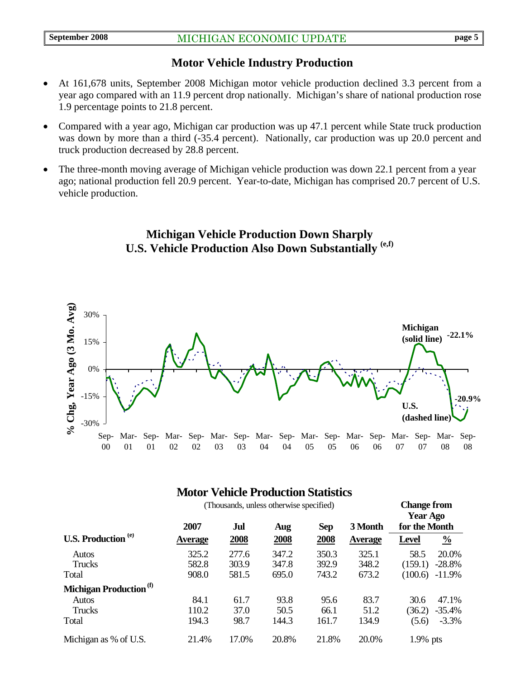## **Motor Vehicle Industry Production**

- At 161,678 units, September 2008 Michigan motor vehicle production declined 3.3 percent from a year ago compared with an 11.9 percent drop nationally. Michigan's share of national production rose 1.9 percentage points to 21.8 percent.
- Compared with a year ago, Michigan car production was up 47.1 percent while State truck production was down by more than a third (-35.4 percent). Nationally, car production was up 20.0 percent and truck production decreased by 28.8 percent.
- The three-month moving average of Michigan vehicle production was down 22.1 percent from a year ago; national production fell 20.9 percent. Year-to-date, Michigan has comprised 20.7 percent of U.S. vehicle production.

# **Michigan Vehicle Production Down Sharply U.S. Vehicle Production Also Down Substantially (e,f)**



# **Motor Vehicle Production Statistics**

|                                    | (Thousands, unless otherwise specified) |       |       |            |                |               | <b>Change from</b><br><b>Year Ago</b> |  |
|------------------------------------|-----------------------------------------|-------|-------|------------|----------------|---------------|---------------------------------------|--|
|                                    | 2007                                    | Jul   | Aug   | <b>Sep</b> | 3 Month        | for the Month |                                       |  |
| <b>U.S. Production</b> (e)         | <b>Average</b>                          | 2008  | 2008  | 2008       | <b>Average</b> | <b>Level</b>  | $\frac{0}{0}$                         |  |
| Autos                              | 325.2                                   | 277.6 | 347.2 | 350.3      | 325.1          | 58.5          | 20.0%                                 |  |
| Trucks                             | 582.8                                   | 303.9 | 347.8 | 392.9      | 348.2          | (159.1)       | $-28.8%$                              |  |
| Total                              | 908.0                                   | 581.5 | 695.0 | 743.2      | 673.2          | (100.6)       | $-11.9\%$                             |  |
| Michigan Production <sup>(f)</sup> |                                         |       |       |            |                |               |                                       |  |
| <b>Autos</b>                       | 84.1                                    | 61.7  | 93.8  | 95.6       | 83.7           | 30.6          | 47.1%                                 |  |
| Trucks                             | 110.2                                   | 37.0  | 50.5  | 66.1       | 51.2           | (36.2)        | $-35.4%$                              |  |
| Total                              | 194.3                                   | 98.7  | 144.3 | 161.7      | 134.9          | (5.6)         | $-3.3\%$                              |  |
| Michigan as % of U.S.              | 21.4%                                   | 17.0% | 20.8% | 21.8%      | 20.0%          | $1.9\%$ pts   |                                       |  |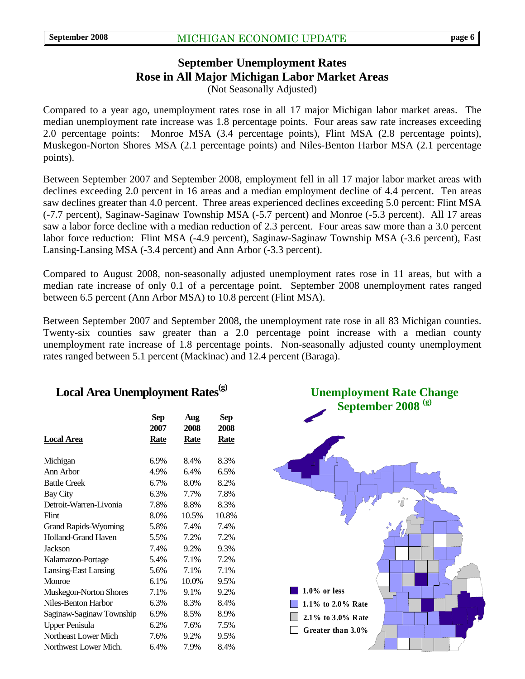#### **September 2008** MICHIGAN ECONOMIC UPDATE **page 6**

# **September Unemployment Rates Rose in All Major Michigan Labor Market Areas**

(Not Seasonally Adjusted)

Compared to a year ago, unemployment rates rose in all 17 major Michigan labor market areas. The median unemployment rate increase was 1.8 percentage points. Four areas saw rate increases exceeding 2.0 percentage points: Monroe MSA (3.4 percentage points), Flint MSA (2.8 percentage points), Muskegon-Norton Shores MSA (2.1 percentage points) and Niles-Benton Harbor MSA (2.1 percentage points).

Between September 2007 and September 2008, employment fell in all 17 major labor market areas with declines exceeding 2.0 percent in 16 areas and a median employment decline of 4.4 percent. Ten areas saw declines greater than 4.0 percent. Three areas experienced declines exceeding 5.0 percent: Flint MSA (-7.7 percent), Saginaw-Saginaw Township MSA (-5.7 percent) and Monroe (-5.3 percent). All 17 areas saw a labor force decline with a median reduction of 2.3 percent. Four areas saw more than a 3.0 percent labor force reduction: Flint MSA (-4.9 percent), Saginaw-Saginaw Township MSA (-3.6 percent), East Lansing-Lansing MSA (-3.4 percent) and Ann Arbor (-3.3 percent).

Compared to August 2008, non-seasonally adjusted unemployment rates rose in 11 areas, but with a median rate increase of only 0.1 of a percentage point. September 2008 unemployment rates ranged between 6.5 percent (Ann Arbor MSA) to 10.8 percent (Flint MSA).

Between September 2007 and September 2008, the unemployment rate rose in all 83 Michigan counties. Twenty-six counties saw greater than a 2.0 percentage point increase with a median county unemployment rate increase of 1.8 percentage points. Non-seasonally adjusted county unemployment rates ranged between 5.1 percent (Mackinac) and 12.4 percent (Baraga).

# Local Area Unemployment Rates<sup>(g)</sup>

|                               | Sep<br>2007 | Aug<br>2008 | Sep<br>2008 |
|-------------------------------|-------------|-------------|-------------|
| Local Area                    | <b>Rate</b> | <u>Rate</u> | <b>Rate</b> |
| Michigan                      | 6.9%        | 8.4%        | 8.3%        |
| Ann Arbor                     | 4.9%        | 6.4%        | 6.5%        |
| <b>Battle Creek</b>           | 6.7%        | 8.0%        | 8.2%        |
| <b>Bay City</b>               | 6.3%        | 7.7%        | 7.8%        |
| Detroit-Warren-Livonia        | 7.8%        | 8.8%        | 8.3%        |
| Flint                         | 8.0%        | 10.5%       | 10.8%       |
| <b>Grand Rapids-Wyoming</b>   | 5.8%        | 7.4%        | 7.4%        |
| <b>Holland-Grand Haven</b>    | 5.5%        | 7.2%        | 7.2%        |
| Jackson                       | 7.4%        | 9.2%        | 9.3%        |
| Kalamazoo-Portage             | 5.4%        | 7.1%        | 7.2%        |
| Lansing-East Lansing          | 5.6%        | 7.1%        | 7.1%        |
| Monroe                        | 6.1%        | 10.0%       | 9.5%        |
| <b>Muskegon-Norton Shores</b> | 7.1%        | 9.1%        | 9.2%        |
| Niles-Benton Harbor           | 6.3%        | 8.3%        | 8.4%        |
| Saginaw-Saginaw Township      | 6.9%        | 8.5%        | 8.9%        |
| <b>Upper Penisula</b>         | 6.2%        | 7.6%        | 7.5%        |
| Northeast Lower Mich          | 7.6%        | 9.2%        | 9.5%        |
| Northwest Lower Mich.         | 6.4%        | 7.9%        | 8.4%        |

**Unemployment Rate Change September 2008 (g)**

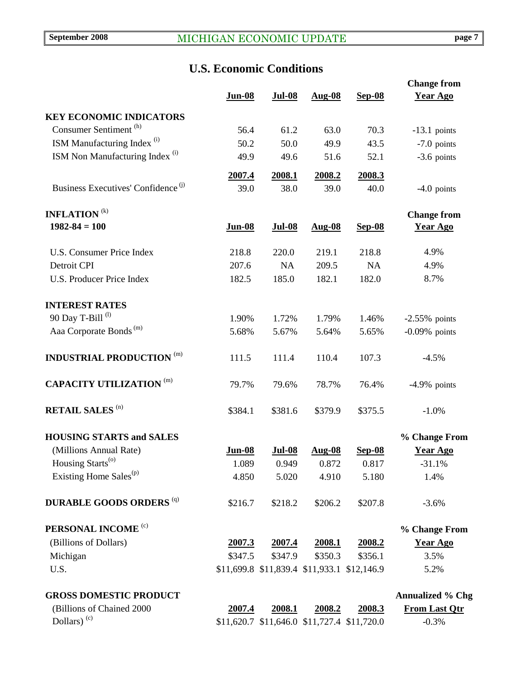# **U.S. Economic Conditions**

|                                                | <u>Jun-08</u> | <b>Jul-08</b> | Aug-08        | $Sep-08$                                    | <b>Change from</b><br><b>Year Ago</b> |
|------------------------------------------------|---------------|---------------|---------------|---------------------------------------------|---------------------------------------|
|                                                |               |               |               |                                             |                                       |
| <b>KEY ECONOMIC INDICATORS</b>                 |               |               |               |                                             |                                       |
| Consumer Sentiment <sup>(h)</sup>              | 56.4          | 61.2          | 63.0          | 70.3                                        | $-13.1$ points                        |
| ISM Manufacturing Index <sup>(i)</sup>         | 50.2          | 50.0          | 49.9          | 43.5                                        | $-7.0$ points                         |
| ISM Non Manufacturing Index <sup>(i)</sup>     | 49.9          | 49.6          | 51.6          | 52.1                                        | $-3.6$ points                         |
|                                                | 2007.4        | 2008.1        | 2008.2        | 2008.3                                      |                                       |
| Business Executives' Confidence <sup>(j)</sup> | 39.0          | 38.0          | 39.0          | 40.0                                        | $-4.0$ points                         |
| <b>INFLATION</b> <sup>(k)</sup>                |               |               |               |                                             | <b>Change from</b>                    |
| $1982 - 84 = 100$                              | <u>Jun-08</u> | <b>Jul-08</b> | <b>Aug-08</b> | <b>Sep-08</b>                               | <b>Year Ago</b>                       |
| <b>U.S. Consumer Price Index</b>               | 218.8         | 220.0         | 219.1         | 218.8                                       | 4.9%                                  |
| Detroit CPI                                    | 207.6         | NA            | 209.5         | NA                                          | 4.9%                                  |
| <b>U.S. Producer Price Index</b>               | 182.5         | 185.0         | 182.1         | 182.0                                       | 8.7%                                  |
| <b>INTEREST RATES</b>                          |               |               |               |                                             |                                       |
| 90 Day T-Bill <sup>(l)</sup>                   | 1.90%         | 1.72%         | 1.79%         | 1.46%                                       | $-2.55\%$ points                      |
| Aaa Corporate Bonds <sup>(m)</sup>             | 5.68%         | 5.67%         | 5.64%         | 5.65%                                       | $-0.09%$ points                       |
| <b>INDUSTRIAL PRODUCTION</b><br>(m)            | 111.5         | 111.4         | 110.4         | 107.3                                       | $-4.5%$                               |
| <b>CAPACITY UTILIZATION</b> (m)                | 79.7%         | 79.6%         | 78.7%         | 76.4%                                       | $-4.9\%$ points                       |
| <b>RETAIL SALES (n)</b>                        | \$384.1       | \$381.6       | \$379.9       | \$375.5                                     | $-1.0%$                               |
| <b>HOUSING STARTS and SALES</b>                |               |               |               |                                             | % Change From                         |
| (Millions Annual Rate)                         | <u>Jun-08</u> | <b>Jul-08</b> | <b>Aug-08</b> | <b>Sep-08</b>                               | <b>Year Ago</b>                       |
| Housing Starts <sup>(o)</sup>                  | 1.089         | 0.949         | 0.872         | 0.817                                       | $-31.1%$                              |
| Existing Home Sales <sup>(p)</sup>             | 4.850         | 5.020         | 4.910         | 5.180                                       | 1.4%                                  |
| <b>DURABLE GOODS ORDERS (q)</b>                | \$216.7       | \$218.2       | \$206.2       | \$207.8                                     | $-3.6%$                               |
| PERSONAL INCOME <sup>(c)</sup>                 |               |               |               |                                             | % Change From                         |
| (Billions of Dollars)                          | 2007.3        | 2007.4        | 2008.1        | 2008.2                                      | <b>Year Ago</b>                       |
| Michigan                                       | \$347.5       | \$347.9       | \$350.3       | \$356.1                                     | 3.5%                                  |
| U.S.                                           |               |               |               | \$11,699.8 \$11,839.4 \$11,933.1 \$12,146.9 | 5.2%                                  |
| <b>GROSS DOMESTIC PRODUCT</b>                  |               |               |               |                                             | <b>Annualized % Chg</b>               |
| (Billions of Chained 2000                      | 2007.4        | 2008.1        | 2008.2        | 2008.3                                      | <b>From Last Qtr</b>                  |

Dollars) (c)  $$11,620.7$   $$11,646.0$   $$11,727.4$   $$11,720.0$   $-0.3\%$